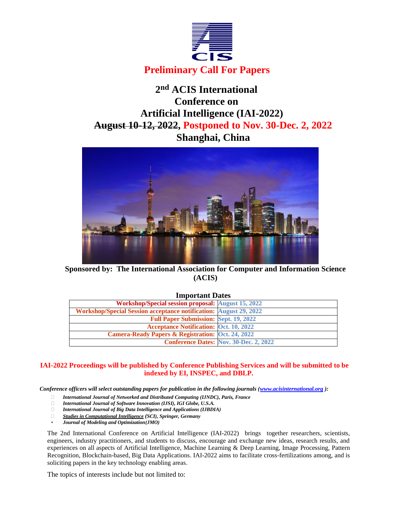

# **2 nd ACIS International Conference on Artificial Intelligence (IAI-2022) August 10-12, 2022, Postponed to Nov. 30-Dec. 2, 2022 Shanghai, China**



**Sponsored by: The International Association for Computer and Information Science (ACIS)**

### **Important Dates**

| Workshop/Special session proposal: August 15, 2022                       |                                               |  |
|--------------------------------------------------------------------------|-----------------------------------------------|--|
| <b>Workshop/Special Session acceptance notification: August 29, 2022</b> |                                               |  |
| <b>Full Paper Submission: Sept. 19, 2022</b>                             |                                               |  |
| <b>Acceptance Notification: Oct. 10, 2022</b>                            |                                               |  |
| <b>Camera-Ready Papers &amp; Registration: Oct. 24, 2022</b>             |                                               |  |
|                                                                          | <b>Conference Dates: Nov. 30-Dec. 2, 2022</b> |  |
|                                                                          |                                               |  |

# **IAI-2022 Proceedings will be published by Conference Publishing Services and will be submitted to be indexed by EI, INSPEC, and DBLP.**

*Conference officers will select outstanding papers for publication in the following journals [\(www.acisinternational.org](http://www.acisinternational.org/))*:

- *International Journal of Networked and Distributed Computing (IJNDC), Paris, France*
- *International Journal of Software Innovation (IJSI), IGI Globe, U.S.A.*
- *International Journal of Big Data Intelligence and Applications (IJBDIA)*
- *Studies in Computational Intelligence (SCI), Springer, Germany*
- *Journal of Modeling and Optimization(JMO)*

The 2nd International Conference on Artificial Intelligence (IAI-2022) brings together researchers, scientists, engineers, industry practitioners, and students to discuss, encourage and exchange new ideas, research results, and experiences on all aspects of Artificial Intelligence, Machine Learning & Deep Learning, Image Processing, Pattern Recognition, Blockchain-based, Big Data Applications. IAI-2022 aims to facilitate cross-fertilizations among, and is soliciting papers in the key technology enabling areas.

The topics of interests include but not limited to: